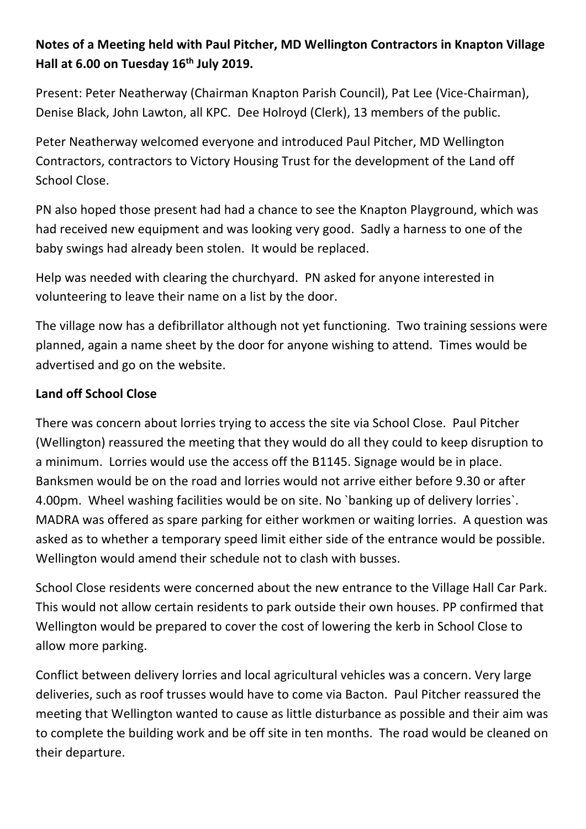## **Notes of a Meeting held with Paul Pitcher, MD Wellington Contractors in Knapton Village Hall at 6.00 on Tuesday 16th July 2019.**

Present: Peter Neatherway (Chairman Knapton Parish Council), Pat Lee (Vice-Chairman), Denise Black, John Lawton, all KPC. Dee Holroyd (Clerk), 13 members of the public.

Peter Neatherway welcomed everyone and introduced Paul Pitcher, MD Wellington Contractors, contractors to Victory Housing Trust for the development of the Land off School Close.

PN also hoped those present had had a chance to see the Knapton Playground, which was had received new equipment and was looking very good. Sadly a harness to one of the baby swings had already been stolen. It would be replaced.

Help was needed with clearing the churchyard. PN asked for anyone interested in volunteering to leave their name on a list by the door.

The village now has a defibrillator although not yet functioning. Two training sessions were planned, again a name sheet by the door for anyone wishing to attend. Times would be advertised and go on the website.

## **Land off School Close**

There was concern about lorries trying to access the site via School Close. Paul Pitcher (Wellington) reassured the meeting that they would do all they could to keep disruption to a minimum. Lorries would use the access off the B1145. Signage would be in place. Banksmen would be on the road and lorries would not arrive either before 9.30 or after 4.00pm. Wheel washing facilities would be on site. No `banking up of delivery lorries`. MADRA was offered as spare parking for either workmen or waiting lorries. A question was asked as to whether a temporary speed limit either side of the entrance would be possible. Wellington would amend their schedule not to clash with busses.

School Close residents were concerned about the new entrance to the Village Hall Car Park. This would not allow certain residents to park outside their own houses. PP confirmed that Wellington would be prepared to cover the cost of lowering the kerb in School Close to allow more parking.

Conflict between delivery lorries and local agricultural vehicles was a concern. Very large deliveries, such as roof trusses would have to come via Bacton. Paul Pitcher reassured the meeting that Wellington wanted to cause as little disturbance as possible and their aim was to complete the building work and be off site in ten months. The road would be cleaned on their departure.